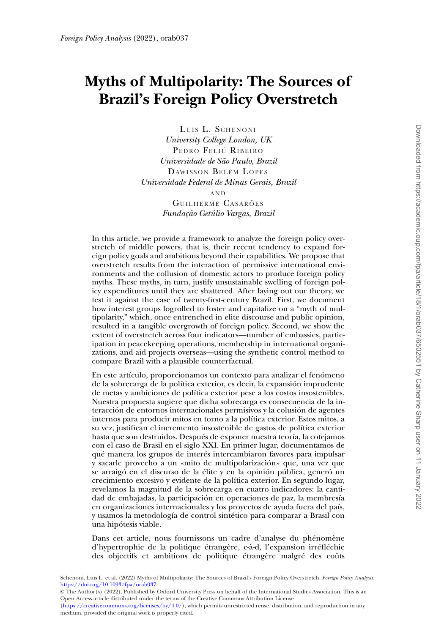# **Myths of Multipolarity: The Sources of Brazil's Foreign Policy Overstretch**

LUIS L. SCHENONI *University College London, UK* PEDRO FELIÚ RIBEIRO *Universidade de São Paulo, Brazil* DAWISSON BELÉM LOPES *Universidade Federal de Minas Gerais, Brazil* AND GUILHERME CASARÕES *Fundação Getúlio Vargas, Brazil*

In this article, we provide a framework to analyze the foreign policy overstretch of middle powers, that is, their recent tendency to expand foreign policy goals and ambitions beyond their capabilities. We propose that overstretch results from the interaction of permissive international environments and the collusion of domestic actors to produce foreign policy myths. These myths, in turn, justify unsustainable swelling of foreign policy expenditures until they are shattered. After laying out our theory, we test it against the case of twenty-first-century Brazil. First, we document how interest groups logrolled to foster and capitalize on a "myth of multipolarity," which, once entrenched in elite discourse and public opinion, resulted in a tangible overgrowth of foreign policy. Second, we show the extent of overstretch across four indicators—number of embassies, participation in peacekeeping operations, membership in international organizations, and aid projects overseas—using the synthetic control method to compare Brazil with a plausible counterfactual.

En este artículo, proporcionamos un contexto para analizar el fenómeno de la sobrecarga de la política exterior, es decir, la expansión imprudente de metas y ambiciones de política exterior pese a los costos insostenibles. Nuestra propuesta sugiere que dicha sobrecarga es consecuencia de la interacción de entornos internacionales permisivos y la colusión de agentes internos para producir mitos en torno a la política exterior. Estos mitos, a su vez, justifican el incremento insostenible de gastos de política exterior hasta que son destruidos. Después de exponer nuestra teoría, la cotejamos con el caso de Brasil en el siglo XXI. En primer lugar, documentamos de qué manera los grupos de interés intercambiaron favores para impulsar y sacarle provecho a un «mito de multipolarización» que, una vez que se arraigó en el discurso de la élite y en la opinión pública, generó un crecimiento excesivo y evidente de la política exterior. En segundo lugar, revelamos la magnitud de la sobrecarga en cuatro indicadores: la cantidad de embajadas, la participación en operaciones de paz, la membresía en organizaciones internacionales y los proyectos de ayuda fuera del país, y usamos la metodología de control sintético para comparar a Brasil con una hipótesis viable.

Dans cet article, nous fournissons un cadre d'analyse du phénomène d'hypertrophie de la politique étrangère, c-à-d, l'expansion irréfléchie des objectifs et ambitions de politique étrangère malgré des coûts

Schenoni, Luis L. et al. (2022) Myths of Multipolarity: The Sources of Brazil's Foreign Policy Overstretch. *Foreign Policy Analysis*, <https://doi.org/10.1093/fpa/orab037>

© The Author(s) (2022). Published by Oxford University Press on behalf of the International Studies Association. This is an Open Access article distributed under the terms of the Creative Commons Attribution License

[\(https://creativecommons.org/licenses/by/4.0/\)](https://creativecommons.org/licenses/by/4.0/), which permits unrestricted reuse, distribution, and reproduction in any medium, provided the original work is properly cited.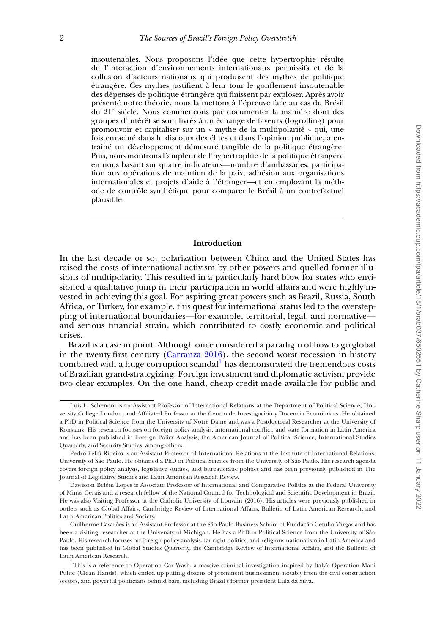insoutenables. Nous proposons l'idée que cette hypertrophie résulte de l'interaction d'environnements internationaux permissifs et de la collusion d'acteurs nationaux qui produisent des mythes de politique étrangère. Ces mythes justifient à leur tour le gonflement insoutenable des dépenses de politique étrangère qui finissent par exploser. Après avoir présenté notre théorie, nous la mettons à l'épreuve face au cas du Brésil du 21e siècle. Nous commençons par documenter la manière dont des groupes d'intérêt se sont livrés à un échange de faveurs (logrolling) pour promouvoir et capitaliser sur un « mythe de la multipolarité » qui, une fois enraciné dans le discours des élites et dans l'opinion publique, a entraîné un développement démesuré tangible de la politique étrangère. Puis, nous montrons l'ampleur de l'hypertrophie de la politique étrangère en nous basant sur quatre indicateurs—nombre d'ambassades, participation aux opérations de maintien de la paix, adhésion aux organisations internationales et projets d'aide à l'étranger—et en employant la méthode de contrôle synthétique pour comparer le Brésil à un contrefactuel plausible.

#### **Introduction**

In the last decade or so, polarization between China and the United States has raised the costs of international activism by other powers and quelled former illusions of multipolarity. This resulted in a particularly hard blow for states who envisioned a qualitative jump in their participation in world affairs and were highly invested in achieving this goal. For aspiring great powers such as Brazil, Russia, South Africa, or Turkey, for example, this quest for international status led to the overstepping of international boundaries—for example, territorial, legal, and normative and serious financial strain, which contributed to costly economic and political crises.

Brazil is a case in point. Although once considered a paradigm of how to go global in the twenty-first century [\(Carranza 2016\)](#page-20-0), the second worst recession in history combined with a huge corruption scandal<sup>[1](#page-1-0)</sup> has demonstrated the tremendous costs of Brazilian grand-strategizing. Foreign investment and diplomatic activism provide two clear examples. On the one hand, cheap credit made available for public and

Luis L. Schenoni is an Assistant Professor of International Relations at the Department of Political Science, University College London, and Affiliated Professor at the Centro de Investigación y Docencia Económicas. He obtained a PhD in Political Science from the University of Notre Dame and was a Postdoctoral Researcher at the University of Konstanz. His research focuses on foreign policy analysis, international conflict, and state formation in Latin America and has been published in Foreign Policy Analysis, the American Journal of Political Science, International Studies Quarterly, and Security Studies, among others.

Pedro Feliú Ribeiro is an Assistant Professor of International Relations at the Institute of International Relations, University of São Paulo. He obtained a PhD in Political Science from the University of São Paulo. His research agenda covers foreign policy analysis, legislative studies, and bureaucratic politics and has been previously published in The Journal of Legislative Studies and Latin American Research Review.

Dawisson Belém Lopes is Associate Professor of International and Comparative Politics at the Federal University of Minas Gerais and a research fellow of the National Council for Technological and Scientific Development in Brazil. He was also Visiting Professor at the Catholic University of Louvain (2016). His articles were previously published in outlets such as Global Affairs, Cambridge Review of International Affairs, Bulletin of Latin American Research, and Latin American Politics and Society.

Guilherme Casarões is an Assistant Professor at the São Paulo Business School of Fundação Getulio Vargas and has been a visiting researcher at the University of Michigan. He has a PhD in Political Science from the University of São Paulo. His research focuses on foreign policy analysis, far-right politics, and religious nationalism in Latin America and has been published in Global Studies Quarterly, the Cambridge Review of International Affairs, and the Bulletin of Latin American Research.

<span id="page-1-0"></span><sup>&</sup>lt;sup>1</sup>This is a reference to Operation Car Wash, a massive criminal investigation inspired by Italy's Operation Mani Pulite (Clean Hands), which ended up putting dozens of prominent businessmen, notably from the civil construction sectors, and powerful politicians behind bars, including Brazil's former president Lula da Silva.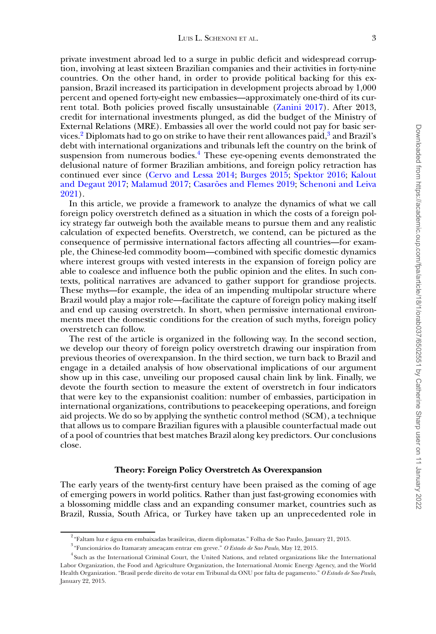private investment abroad led to a surge in public deficit and widespread corruption, involving at least sixteen Brazilian companies and their activities in forty-nine countries. On the other hand, in order to provide political backing for this expansion, Brazil increased its participation in development projects abroad by 1,000 percent and opened forty-eight new embassies—approximately one-third of its current total. Both policies proved fiscally unsustainable [\(Zanini 2017\)](#page-21-0). After 2013, credit for international investments plunged, as did the budget of the Ministry of External Relations (MRE). Embassies all over the world could not pay for basic services. $^{2}$  $^{2}$  $^{2}$  Diplomats had to go on strike to have their rent allowances paid, $^{3}$  $^{3}$  $^{3}$  and Brazil's debt with international organizations and tribunals left the country on the brink of suspension from numerous bodies.<sup>4</sup> These eye-opening events demonstrated the delusional nature of former Brazilian ambitions, and foreign policy retraction has [continued ever since \(](#page-20-3)[Cervo and Lessa 2014](#page-20-1)[;](#page-20-3) [Burges 2015;](#page-20-2) [Spektor 2016;](#page-21-1) Kalout and Degaut 2017; [Malamud 2017;](#page-21-2) [Casarões and Flemes 2019](#page-20-4)[;](#page-21-3) Schenoni and Leiva 2021).

In this article, we provide a framework to analyze the dynamics of what we call foreign policy overstretch defined as a situation in which the costs of a foreign policy strategy far outweigh both the available means to pursue them and any realistic calculation of expected benefits. Overstretch, we contend, can be pictured as the consequence of permissive international factors affecting all countries—for example, the Chinese-led commodity boom—combined with specific domestic dynamics where interest groups with vested interests in the expansion of foreign policy are able to coalesce and influence both the public opinion and the elites. In such contexts, political narratives are advanced to gather support for grandiose projects. These myths—for example, the idea of an impending multipolar structure where Brazil would play a major role—facilitate the capture of foreign policy making itself and end up causing overstretch. In short, when permissive international environments meet the domestic conditions for the creation of such myths, foreign policy overstretch can follow.

The rest of the article is organized in the following way. In the second section, we develop our theory of foreign policy overstretch drawing our inspiration from previous theories of overexpansion. In the third section, we turn back to Brazil and engage in a detailed analysis of how observational implications of our argument show up in this case, unveiling our proposed causal chain link by link. Finally, we devote the fourth section to measure the extent of overstretch in four indicators that were key to the expansionist coalition: number of embassies, participation in international organizations, contributions to peacekeeping operations, and foreign aid projects. We do so by applying the synthetic control method (SCM), a technique that allows us to compare Brazilian figures with a plausible counterfactual made out of a pool of countries that best matches Brazil along key predictors. Our conclusions close.

# **Theory: Foreign Policy Overstretch As Overexpansion**

The early years of the twenty-first century have been praised as the coming of age of emerging powers in world politics. Rather than just fast-growing economies with a blossoming middle class and an expanding consumer market, countries such as Brazil, Russia, South Africa, or Turkey have taken up an unprecedented role in

<span id="page-2-0"></span> $^2$ "Faltam luz e água em embaixadas brasileiras, dizem diplomatas." Folha de Sao Paulo, January 21, 2015.

<span id="page-2-2"></span><span id="page-2-1"></span><sup>3</sup> "Funcionários do Itamaraty ameaçam entrar em greve." *O Estado de Sao Paulo*, May 12, 2015.

<sup>4</sup> Such as the International Criminal Court, the United Nations, and related organizations like the International Labor Organization, the Food and Agriculture Organization, the International Atomic Energy Agency, and the World Health Organization. "Brasil perde direito de votar em Tribunal da ONU por falta de pagamento." *O Estado de Sao Paulo*, January 22, 2015.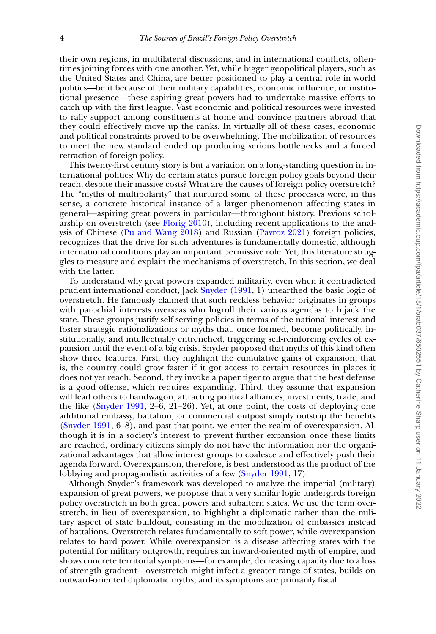their own regions, in multilateral discussions, and in international conflicts, oftentimes joining forces with one another. Yet, while bigger geopolitical players, such as the United States and China, are better positioned to play a central role in world politics—be it because of their military capabilities, economic influence, or institutional presence—these aspiring great powers had to undertake massive efforts to catch up with the first league. Vast economic and political resources were invested to rally support among constituents at home and convince partners abroad that they could effectively move up the ranks. In virtually all of these cases, economic and political constraints proved to be overwhelming. The mobilization of resources to meet the new standard ended up producing serious bottlenecks and a forced retraction of foreign policy.

This twenty-first century story is but a variation on a long-standing question in international politics: Why do certain states pursue foreign policy goals beyond their reach, despite their massive costs? What are the causes of foreign policy overstretch? The "myths of multipolarity" that nurtured some of these processes were, in this sense, a concrete historical instance of a larger phenomenon affecting states in general—aspiring great powers in particular—throughout history. Previous scholarship on overstretch (see [Florig 2010\)](#page-20-5), including recent applications to the analysis of Chinese [\(Pu and Wang 2018\)](#page-21-4) and Russian [\(Pavroz 2021\)](#page-21-5) foreign policies, recognizes that the drive for such adventures is fundamentally domestic, although international conditions play an important permissive role. Yet, this literature struggles to measure and explain the mechanisms of overstretch. In this section, we deal with the latter.

To understand why great powers expanded militarily, even when it contradicted prudent international conduct, Jack [Snyder \(1991,](#page-21-6) 1) unearthed the basic logic of overstretch. He famously claimed that such reckless behavior originates in groups with parochial interests overseas who logroll their various agendas to hijack the state. These groups justify self-serving policies in terms of the national interest and foster strategic rationalizations or myths that, once formed, become politically, institutionally, and intellectually entrenched, triggering self-reinforcing cycles of expansion until the event of a big crisis. Snyder proposed that myths of this kind often show three features. First, they highlight the cumulative gains of expansion, that is, the country could grow faster if it got access to certain resources in places it does not yet reach. Second, they invoke a paper tiger to argue that the best defense is a good offense, which requires expanding. Third, they assume that expansion will lead others to bandwagon, attracting political alliances, investments, trade, and the like [\(Snyder 1991,](#page-21-6)  $2-\overline{6}$ , 21–26). Yet, at one point, the costs of deploying one additional embassy, battalion, or commercial outpost simply outstrip the benefits [\(Snyder 1991,](#page-21-6) 6–8), and past that point, we enter the realm of overexpansion. Although it is in a society's interest to prevent further expansion once these limits are reached, ordinary citizens simply do not have the information nor the organizational advantages that allow interest groups to coalesce and effectively push their agenda forward. Overexpansion, therefore, is best understood as the product of the lobbying and propagandistic activities of a few [\(Snyder 1991,](#page-21-6) 17).

Although Snyder's framework was developed to analyze the imperial (military) expansion of great powers, we propose that a very similar logic undergirds foreign policy overstretch in both great powers and subaltern states. We use the term overstretch, in lieu of overexpansion, to highlight a diplomatic rather than the military aspect of state buildout, consisting in the mobilization of embassies instead of battalions. Overstretch relates fundamentally to soft power, while overexpansion relates to hard power. While overexpansion is a disease affecting states with the potential for military outgrowth, requires an inward-oriented myth of empire, and shows concrete territorial symptoms—for example, decreasing capacity due to a loss of strength gradient—overstretch might infect a greater range of states, builds on outward-oriented diplomatic myths, and its symptoms are primarily fiscal.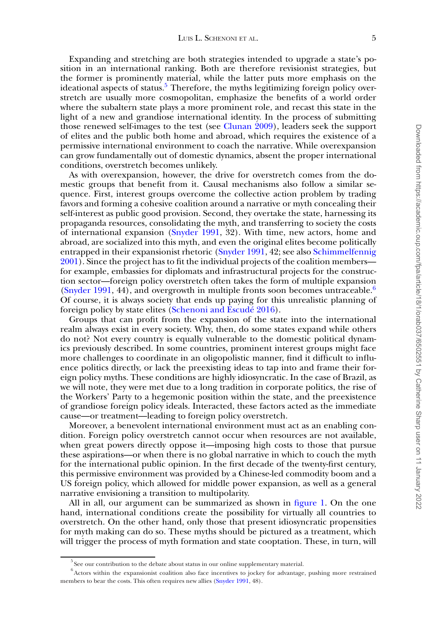Expanding and stretching are both strategies intended to upgrade a state's position in an international ranking. Both are therefore revisionist strategies, but the former is prominently material, while the latter puts more emphasis on the ideational aspects of status. $5$  Therefore, the myths legitimizing foreign policy overstretch are usually more cosmopolitan, emphasize the benefits of a world order where the subaltern state plays a more prominent role, and recast this state in the light of a new and grandiose international identity. In the process of submitting those renewed self-images to the test (see [Clunan 2009\)](#page-20-6), leaders seek the support of elites and the public both home and abroad, which requires the existence of a permissive international environment to coach the narrative. While overexpansion can grow fundamentally out of domestic dynamics, absent the proper international conditions, overstretch becomes unlikely.

As with overexpansion, however, the drive for overstretch comes from the domestic groups that benefit from it. Causal mechanisms also follow a similar sequence. First, interest groups overcome the collective action problem by trading favors and forming a cohesive coalition around a narrative or myth concealing their self-interest as public good provision. Second, they overtake the state, harnessing its propaganda resources, consolidating the myth, and transferring to society the costs of international expansion [\(Snyder 1991,](#page-21-6) 32). With time, new actors, home and abroad, are socialized into this myth, and even the original elites become politically entrapped in their expansionist rhetoric [\(Snyder 1991,](#page-21-6) 42; see also Schimmelfennig [2001\). Since the project has to fit the individual projects of the coalition members](#page-21-7) for example, embassies for diplomats and infrastructural projects for the construction sector—foreign policy overstretch often takes the form of multiple expansion [\(Snyder 1991,](#page-21-6) 44), and overgrowth in multiple fronts soon becomes untraceable.<sup>[6](#page-4-1)</sup> Of course, it is always society that ends up paying for this unrealistic planning of foreign policy by state elites [\(Schenoni and Escudé 2016\)](#page-21-8).

Groups that can profit from the expansion of the state into the international realm always exist in every society. Why, then, do some states expand while others do not? Not every country is equally vulnerable to the domestic political dynamics previously described. In some countries, prominent interest groups might face more challenges to coordinate in an oligopolistic manner, find it difficult to influence politics directly, or lack the preexisting ideas to tap into and frame their foreign policy myths. These conditions are highly idiosyncratic. In the case of Brazil, as we will note, they were met due to a long tradition in corporate politics, the rise of the Workers' Party to a hegemonic position within the state, and the preexistence of grandiose foreign policy ideals. Interacted, these factors acted as the immediate cause—or treatment—leading to foreign policy overstretch.

Moreover, a benevolent international environment must act as an enabling condition. Foreign policy overstretch cannot occur when resources are not available, when great powers directly oppose it—imposing high costs to those that pursue these aspirations—or when there is no global narrative in which to couch the myth for the international public opinion. In the first decade of the twenty-first century, this permissive environment was provided by a Chinese-led commodity boom and a US foreign policy, which allowed for middle power expansion, as well as a general narrative envisioning a transition to multipolarity.

All in all, our argument can be summarized as shown in [figure 1.](#page-5-0) On the one hand, international conditions create the possibility for virtually all countries to overstretch. On the other hand, only those that present idiosyncratic propensities for myth making can do so. These myths should be pictured as a treatment, which will trigger the process of myth formation and state cooptation. These, in turn, will

<span id="page-4-1"></span><span id="page-4-0"></span><sup>5</sup> See our contribution to the debate about status in our online supplementary material.

<sup>&</sup>lt;sup>6</sup> Actors within the expansionist coalition also face incentives to jockey for advantage, pushing more restrained members to bear the costs. This often requires new allies [\(Snyder 1991,](#page-21-6) 48).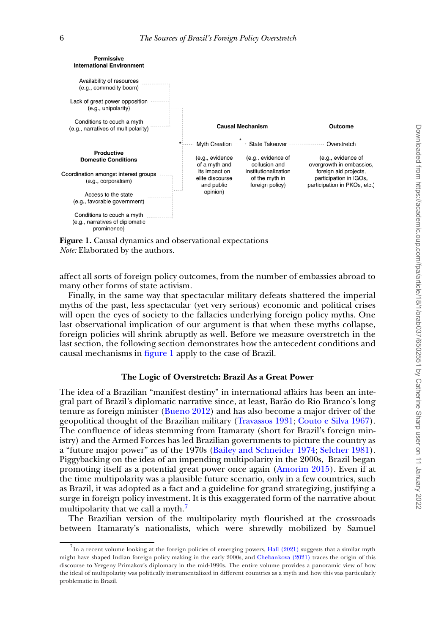<span id="page-5-0"></span>

**Figure 1.** Causal dynamics and observational expectations *Note:* Elaborated by the authors.

affect all sorts of foreign policy outcomes, from the number of embassies abroad to many other forms of state activism.

Finally, in the same way that spectacular military defeats shattered the imperial myths of the past, less spectacular (yet very serious) economic and political crises will open the eyes of society to the fallacies underlying foreign policy myths. One last observational implication of our argument is that when these myths collapse, foreign policies will shrink abruptly as well. Before we measure overstretch in the last section, the following section demonstrates how the antecedent conditions and causal mechanisms in [figure 1](#page-5-0) apply to the case of Brazil.

# **The Logic of Overstretch: Brazil As a Great Power**

The idea of a Brazilian "manifest destiny" in international affairs has been an integral part of Brazil's diplomatic narrative since, at least, Barão do Rio Branco's long tenure as foreign minister [\(Bueno 2012\)](#page-20-7) and has also become a major driver of the geopolitical thought of the Brazilian military [\(Travassos 1931;](#page-21-9) [Couto e Silva 1967\)](#page-20-8). The confluence of ideas stemming from Itamaraty (short for Brazil's foreign ministry) and the Armed Forces has led Brazilian governments to picture the country as a "future major power" as of the 1970s [\(Bailey and Schneider 1974;](#page-20-9) [Selcher 1981\)](#page-21-10). Piggybacking on the idea of an impending multipolarity in the 2000s, Brazil began promoting itself as a potential great power once again [\(Amorim 2015\)](#page-20-10). Even if at the time multipolarity was a plausible future scenario, only in a few countries, such as Brazil, it was adopted as a fact and a guideline for grand strategizing, justifying a surge in foreign policy investment. It is this exaggerated form of the narrative about multipolarity that we call a myth.<sup>[7](#page-5-1)</sup>

The Brazilian version of the multipolarity myth flourished at the crossroads between Itamaraty's nationalists, which were shrewdly mobilized by Samuel

<span id="page-5-1"></span> $^7$ In a recent volume looking at the foreign policies of emerging powers, [Hall \(2021\)](#page-20-11) suggests that a similar myth might have shaped Indian foreign policy making in the early 2000s, and [Chebankova \(2021\)](#page-20-12) traces the origin of this discourse to Yevgeny Primakov's diplomacy in the mid-1990s. The entire volume provides a panoramic view of how the ideal of multipolarity was politically instrumentalized in different countries as a myth and how this was particularly problematic in Brazil.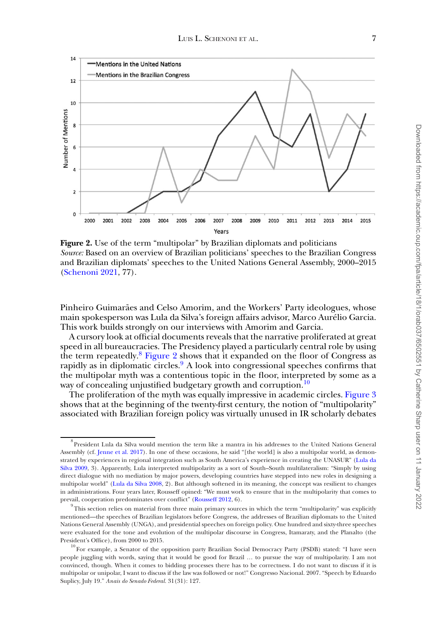<span id="page-6-1"></span>

**Figure 2.** Use of the term "multipolar" by Brazilian diplomats and politicians *Source:* Based on an overview of Brazilian politicians' speeches to the Brazilian Congress and Brazilian diplomats' speeches to the United Nations General Assembly, 2000–2015 [\(Schenoni 2021,](#page-21-11) 77).

Pinheiro Guimarães and Celso Amorim, and the Workers' Party ideologues, whose main spokesperson was Lula da Silva's foreign affairs advisor, Marco Aurélio Garcia. This work builds strongly on our interviews with Amorim and Garcia.

A cursory look at official documents reveals that the narrative proliferated at great speed in all bureaucracies. The Presidency played a particularly central role by using the term repeatedly.<sup>8</sup> [Figure 2](#page-6-1) shows that it expanded on the floor of Congress as rapidly as in diplomatic circles. $9$  A look into congressional speeches confirms that the multipolar myth was a contentious topic in the floor, interpreted by some as a way of concealing unjustified budgetary growth and corruption.<sup>[10](#page-6-3)</sup>

The proliferation of the myth was equally impressive in academic circles. [Figure 3](#page-7-0) shows that at the beginning of the twenty-first century, the notion of "multipolarity" associated with Brazilian foreign policy was virtually unused in IR scholarly debates

<span id="page-6-0"></span> $^8$ President Lula da Silva would mention the term like a mantra in his addresses to the United Nations General Assembly (cf. [Jenne et al. 2017\)](#page-20-13). In one of these occasions, he said "[the world] is also a multipolar world, as demonstrated by experiences in regional integration such as South America's experience in creating the UNASUR" (Lula da [Silva 2009, 3\). Apparently, Lula interpreted multipolarity as a sort of South–South multilateralism: "Simply by using](#page-21-12) direct dialogue with no mediation by major powers, developing countries have stepped into new roles in designing a multipolar world" [\(Lula da Silva 2008,](#page-20-14) 2). But although softened in its meaning, the concept was resilient to changes in administrations. Four years later, Rousseff opined: "We must work to ensure that in the multipolarity that comes to prevail, cooperation predominates over conflict" [\(Rousseff 2012,](#page-21-13) 6).

<span id="page-6-2"></span><sup>&</sup>lt;sup>9</sup> This section relies on material from three main primary sources in which the term "multipolarity" was explicitly mentioned—the speeches of Brazilian legislators before Congress, the addresses of Brazilian diplomats to the United Nations General Assembly (UNGA), and presidential speeches on foreign policy. One hundred and sixty-three speeches were evaluated for the tone and evolution of the multipolar discourse in Congress, Itamaraty, and the Planalto (the President's Office), from 2000 to 2015.

<span id="page-6-3"></span> $^{10}$  For example, a Senator of the opposition party Brazilian Social Democracy Party (PSDB) stated: "I have seen people juggling with words, saying that it would be good for Brazil … to pursue the way of multipolarity. I am not convinced, though. When it comes to bidding processes there has to be correctness. I do not want to discuss if it is multipolar or unipolar, I want to discuss if the law was followed or not!" Congresso Nacional. 2007. "Speech by Eduardo Suplicy, July 19." *Anais do Senado Federal.* 31(31): 127.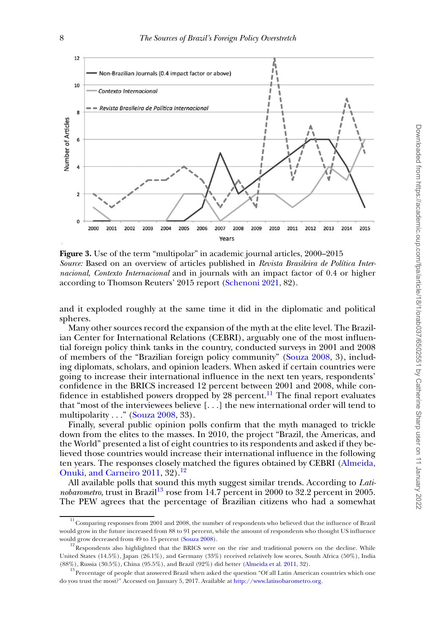<span id="page-7-0"></span>

**Figure 3.** Use of the term "multipolar" in academic journal articles, 2000–2015 *Source:* Based on an overview of articles published in *Revista Brasileira de Política Internacional*, *Contexto Internacional* and in journals with an impact factor of 0.4 or higher according to Thomson Reuters' 2015 report [\(Schenoni 2021,](#page-21-11) 82).

and it exploded roughly at the same time it did in the diplomatic and political spheres.

Many other sources record the expansion of the myth at the elite level. The Brazilian Center for International Relations (CEBRI), arguably one of the most influential foreign policy think tanks in the country, conducted surveys in 2001 and 2008 of members of the "Brazilian foreign policy community" [\(Souza 2008,](#page-21-14) 3), including diplomats, scholars, and opinion leaders. When asked if certain countries were going to increase their international influence in the next ten years, respondents' confidence in the BRICS increased 12 percent between 2001 and 2008, while con-fidence in established powers dropped by 28 percent.<sup>[11](#page-7-1)</sup> The final report evaluates that "most of the interviewees believe  $[\ldots]$  the new international order will tend to multipolarity  $\ldots$ " [\(Souza 2008,](#page-21-14) 33).

Finally, several public opinion polls confirm that the myth managed to trickle down from the elites to the masses. In 2010, the project "Brazil, the Americas, and the World" presented a list of eight countries to its respondents and asked if they believed those countries would increase their international influence in the following [ten years. The responses closely matched the figures obtained by CEBRI \(Almeida,](#page-19-0) Onuki, and Carneiro 2011, 32).<sup>[12](#page-7-2)</sup>

All available polls that sound this myth suggest similar trends. According to *Latinobarometro*, trust in Brazil<sup>13</sup> rose from 14.7 percent in 2000 to 32.2 percent in 2005. The PEW agrees that the percentage of Brazilian citizens who had a somewhat

<span id="page-7-1"></span><sup>&</sup>lt;sup>11</sup> Comparing responses from 2001 and 2008, the number of respondents who believed that the influence of Brazil would grow in the future increased from 88 to 91 percent, while the amount of respondents who thought US influence would grow decreased from 49 to 15 percent [\(Souza 2008\)](#page-21-14).

<span id="page-7-2"></span><sup>&</sup>lt;sup>12</sup>Respondents also highlighted that the BRICS were on the rise and traditional powers on the decline. While United States (14.5%), Japan (26.1%), and Germany (33%) received relatively low scores, South Africa (50%), India (88%), Russia (30.5%), China (95.5%), and Brazil (92%) did better [\(Almeida et al. 2011,](#page-19-0) 32).

<span id="page-7-3"></span> $^{13}$ Percentage of people that answered Brazil when asked the question "Of all Latin American countries which one do you trust the most?" Accessed on January 5, 2017. Available at [http://www.latinobarometro.org.](http://www.latinobarometro.org)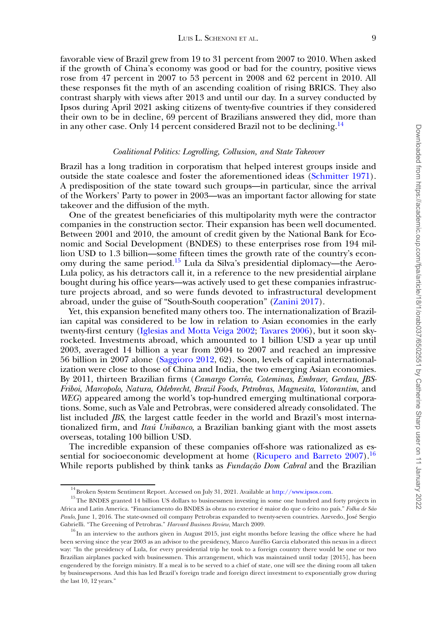favorable view of Brazil grew from 19 to 31 percent from 2007 to 2010. When asked if the growth of China's economy was good or bad for the country, positive views rose from 47 percent in 2007 to 53 percent in 2008 and 62 percent in 2010. All these responses fit the myth of an ascending coalition of rising BRICS. They also contrast sharply with views after 2013 and until our day. In a survey conducted by Ipsos during April 2021 asking citizens of twenty-five countries if they considered their own to be in decline, 69 percent of Brazilians answered they did, more than in any other case. Only [14](#page-8-0) percent considered Brazil not to be declining.<sup>14</sup>

## *Coalitional Politics: Logrolling, Collusion, and State Takeover*

Brazil has a long tradition in corporatism that helped interest groups inside and outside the state coalesce and foster the aforementioned ideas [\(Schmitter 1971\)](#page-21-15). A predisposition of the state toward such groups—in particular, since the arrival of the Workers' Party to power in 2003—was an important factor allowing for state takeover and the diffusion of the myth.

One of the greatest beneficiaries of this multipolarity myth were the contractor companies in the construction sector. Their expansion has been well documented. Between 2001 and 2010, the amount of credit given by the National Bank for Economic and Social Development (BNDES) to these enterprises rose from 194 million USD to 1.3 billion—some fifteen times the growth rate of the country's economy during the same period[.15](#page-8-1) Lula da Silva's presidential diplomacy—the Aero-Lula policy, as his detractors call it, in a reference to the new presidential airplane bought during his office years—was actively used to get these companies infrastructure projects abroad, and so were funds devoted to infrastructural development abroad, under the guise of "South-South cooperation" [\(Zanini 2017\)](#page-21-0).

Yet, this expansion benefited many others too. The internationalization of Brazilian capital was considered to be low in relation to Asian economies in the early twenty-first century [\(Iglesias and Motta Veiga 2002;](#page-20-15) [Tavares 2006\)](#page-21-16), but it soon skyrocketed. Investments abroad, which amounted to 1 billion USD a year up until 2003, averaged 14 billion a year from 2004 to 2007 and reached an impressive 56 billion in 2007 alone [\(Saggioro 2012,](#page-21-17) 62). Soon, levels of capital internationalization were close to those of China and India, the two emerging Asian economies. By 2011, thirteen Brazilian firms (*Camargo Corrêa*, *Coteminas*, *Embraer*, *Gerdau*, *JBS-Friboi*, *Marcopolo*, *Natura*, *Odebrecht*, *Brazil Foods*, *Petrobras*, *Magnesita*, *Votorantim*, and *WEG*) appeared among the world's top-hundred emerging multinational corporations. Some, such as Vale and Petrobras, were considered already consolidated. The list included *JBS*, the largest cattle feeder in the world and Brazil's most internationalized firm, and *Itaú Unibanco*, a Brazilian banking giant with the most assets overseas, totaling 100 billion USD.

The incredible expansion of these companies off-shore was rationalized as es-sential for socioeconomic development at home [\(Ricupero and Barreto 2007\)](#page-21-18).<sup>16</sup> While reports published by think tanks as *Fundação Dom Cabral* and the Brazilian

<span id="page-8-1"></span><span id="page-8-0"></span><sup>&</sup>lt;sup>14</sup> Broken System Sentiment Report. Accessed on July 31, 2021. Available at [http://www.ipsos.com.](http://www.ipsos.com)

<sup>&</sup>lt;sup>15</sup>The BNDES granted 14 billion US dollars to businessmen investing in some one hundred and forty projects in Africa and Latin America. "Financiamento do BNDES às obras no exterior é maior do que o feito no país." *Folha de São Paulo*, June 1, 2016. The state-owned oil company Petrobras expanded to twenty-seven countries. Azevedo, José Sergio Gabrielli. "The Greening of Petrobras." *Harvard Business Review*, March 2009.

<span id="page-8-2"></span><sup>&</sup>lt;sup>16</sup> In an interview to the authors given in August 2015, just eight months before leaving the office where he had been serving since the year 2003 as an advisor to the presidency, Marco Aurélio Garcia elaborated this nexus in a direct way: "In the presidency of Lula, for every presidential trip he took to a foreign country there would be one or two Brazilian airplanes packed with businessmen. This arrangement, which was maintained until today [2015], has been engendered by the foreign ministry. If a meal is to be served to a chief of state, one will see the dining room all taken by businesspersons. And this has led Brazil's foreign trade and foreign direct investment to exponentially grow during the last 10, 12 years."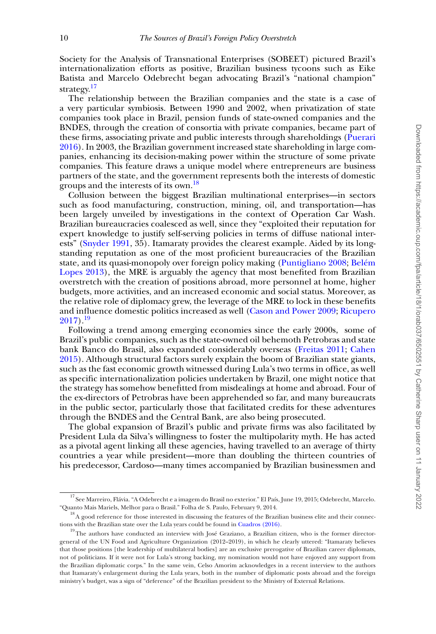Society for the Analysis of Transnational Enterprises (SOBEET) pictured Brazil's internationalization efforts as positive, Brazilian business tycoons such as Eike Batista and Marcelo Odebrecht began advocating Brazil's "national champion" strategy.<sup>[17](#page-9-0)</sup>

The relationship between the Brazilian companies and the state is a case of a very particular symbiosis. Between 1990 and 2002, when privatization of state companies took place in Brazil, pension funds of state-owned companies and the BNDES, through the creation of consortia with private companies, became part of these firms, associating private and public interests through shareholdings (Puerari [2016\). In 2003, the Brazilian government increased state shareholding in large com](#page-21-19)panies, enhancing its decision-making power within the structure of some private companies. This feature draws a unique model where entrepreneurs are business partners of the state, and the government represents both the interests of domestic groups and the interests of its own.<sup>[18](#page-9-1)</sup>

Collusion between the biggest Brazilian multinational enterprises—in sectors such as food manufacturing, construction, mining, oil, and transportation—has been largely unveiled by investigations in the context of Operation Car Wash. Brazilian bureaucracies coalesced as well, since they "exploited their reputation for expert knowledge to justify self-serving policies in terms of diffuse national interests" [\(Snyder 1991,](#page-21-6) 35). Itamaraty provides the clearest example. Aided by its longstanding reputation as one of the most proficient bureaucracies of the Brazilian state, and its quasi-monopoly over foreign policy making [\(Puntigliano 2008;](#page-21-20) Belém [Lopes 2013\), the MRE is arguably the agency that most benefited from Brazilian](#page-20-16) overstretch with the creation of positions abroad, more personnel at home, higher budgets, more activities, and an increased economic and social status. Moreover, as the relative role of diplomacy grew, the leverage of the MRE to lock in these benefits [and influence domestic politics increased as well \(](#page-21-21)[Cason and Power 2009](#page-20-17)[;](#page-21-21) Ricupero  $2017$ ).<sup>19</sup>

Following a trend among emerging economies since the early 2000s, some of Brazil's public companies, such as the state-owned oil behemoth Petrobras and state bank Banco do Brasil, also expanded considerably overseas [\(Freitas 2011;](#page-20-18) Cahen [2015\). Although structural factors surely explain the boom of Brazilian state giants,](#page-20-19) such as the fast economic growth witnessed during Lula's two terms in office, as well as specific internationalization policies undertaken by Brazil, one might notice that the strategy has somehow benefitted from misdealings at home and abroad. Four of the ex-directors of Petrobras have been apprehended so far, and many bureaucrats in the public sector, particularly those that facilitated credits for these adventures through the BNDES and the Central Bank, are also being prosecuted.

The global expansion of Brazil's public and private firms was also facilitated by President Lula da Silva's willingness to foster the multipolarity myth. He has acted as a pivotal agent linking all these agencies, having travelled to an average of thirty countries a year while president—more than doubling the thirteen countries of his predecessor, Cardoso—many times accompanied by Brazilian businessmen and

<span id="page-9-0"></span><sup>17</sup> See Marreiro, Flávia. "A Odebrecht e a imagem do Brasil no exterior." El País, June 19, 2015; Odebrecht, Marcelo. "Quanto Mais Mariels, Melhor para o Brasil." Folha de S. Paulo, February 9, 2014.

<span id="page-9-1"></span> $18$  A good reference for those interested in discussing the features of the Brazilian business elite and their connections with the Brazilian state over the Lula years could be found in [Cuadros \(2016\).](#page-20-20)

<span id="page-9-2"></span><sup>&</sup>lt;sup>19</sup>The authors have conducted an interview with José Graziano, a Brazilian citizen, who is the former directorgeneral of the UN Food and Agriculture Organization (2012–2019), in which he clearly uttered: "Itamaraty believes that those positions [the leadership of multilateral bodies] are an exclusive prerogative of Brazilian career diplomats, not of politicians. If it were not for Lula's strong backing, my nomination would not have enjoyed any support from the Brazilian diplomatic corps." In the same vein, Celso Amorim acknowledges in a recent interview to the authors that Itamaraty's enlargement during the Lula years, both in the number of diplomatic posts abroad and the foreign ministry's budget, was a sign of "deference" of the Brazilian president to the Ministry of External Relations.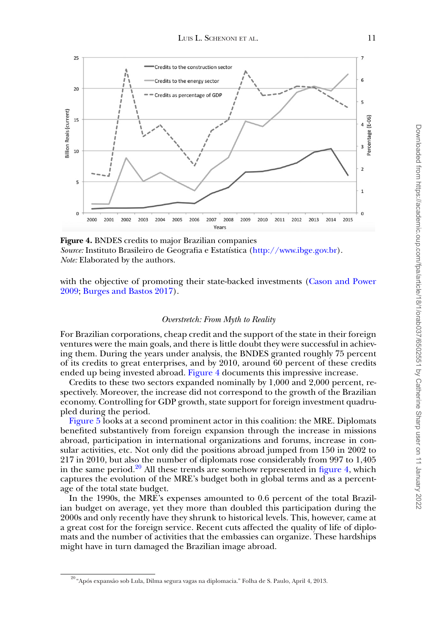<span id="page-10-0"></span>

**Figure 4.** BNDES credits to major Brazilian companies *Source:* Instituto Brasileiro de Geografia e Estatística [\(http://www.ibge.gov.br\)](http://www.ibge.gov.br). *Note:* Elaborated by the authors.

[with the objective of promoting their state-backed investments \(Cason and Power](#page-20-17) 2009; [Burges and Bastos 2017\)](#page-20-21).

#### *Overstretch: From Myth to Reality*

For Brazilian corporations, cheap credit and the support of the state in their foreign ventures were the main goals, and there is little doubt they were successful in achieving them. During the years under analysis, the BNDES granted roughly 75 percent of its credits to great enterprises, and by 2010, around 60 percent of these credits ended up being invested abroad. [Figure 4](#page-10-0) documents this impressive increase.

Credits to these two sectors expanded nominally by 1,000 and 2,000 percent, respectively. Moreover, the increase did not correspond to the growth of the Brazilian economy. Controlling for GDP growth, state support for foreign investment quadrupled during the period.

[Figure 5](#page-11-0) looks at a second prominent actor in this coalition: the MRE. Diplomats benefited substantively from foreign expansion through the increase in missions abroad, participation in international organizations and forums, increase in consular activities, etc. Not only did the positions abroad jumped from 150 in 2002 to 217 in 2010, but also the number of diplomats rose considerably from 997 to 1,405 in the same period.<sup>20</sup> All these trends are somehow represented in [figure 4,](#page-10-0) which captures the evolution of the MRE's budget both in global terms and as a percentage of the total state budget.

In the 1990s, the MRE's expenses amounted to 0.6 percent of the total Brazilian budget on average, yet they more than doubled this participation during the 2000s and only recently have they shrunk to historical levels. This, however, came at a great cost for the foreign service. Recent cuts affected the quality of life of diplomats and the number of activities that the embassies can organize. These hardships might have in turn damaged the Brazilian image abroad.

<span id="page-10-1"></span> $^{20}$ "Após expansão sob Lula, Dilma segura vagas na diplomacia." Folha de S. Paulo, April 4, 2013.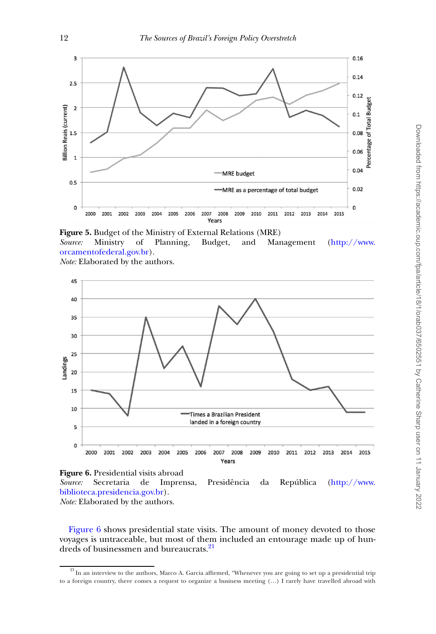<span id="page-11-0"></span>

**Figure 5.** Budget of the Ministry of External Relations (MRE) *Source:* [Ministry of Planning, Budget, and Management \(http://www.](http://www.orcamentofederal.gov.br) orcamentofederal.gov.br). *Note:* Elaborated by the authors.

<span id="page-11-1"></span>



*Source:* [Secretaria de Imprensa, Presidência da República \(http://www.](http://www.biblioteca.presidencia.gov.br) biblioteca.presidencia.gov.br).

*Note:* Elaborated by the authors.

[Figure 6](#page-11-1) shows presidential state visits. The amount of money devoted to those voyages is untraceable, but most of them included an entourage made up of hundreds of businessmen and bureaucrats.<sup>21</sup>

<span id="page-11-2"></span> $21$  In an interview to the authors, Marco A. Garcia affirmed, "Whenever you are going to set up a presidential trip to a foreign country, there comes a request to organize a business meeting (…) I rarely have travelled abroad with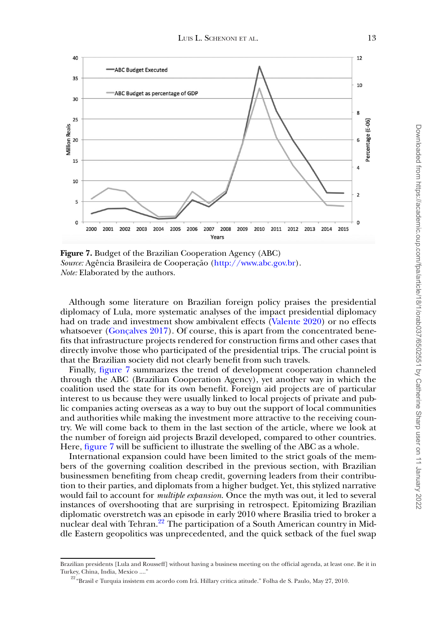<span id="page-12-0"></span>

**Figure 7.** Budget of the Brazilian Cooperation Agency (ABC) *Source:* Agência Brasileira de Cooperação [\(http://www.abc.gov.br\)](http://www.abc.gov.br). *Note:* Elaborated by the authors.

Although some literature on Brazilian foreign policy praises the presidential diplomacy of Lula, more systematic analyses of the impact presidential diplomacy had on trade and investment show ambivalent effects [\(Valente 2020\)](#page-21-22) or no effects whatsoever [\(Gonçalves 2017\)](#page-20-22). Of course, this is apart from the concentrated benefits that infrastructure projects rendered for construction firms and other cases that directly involve those who participated of the presidential trips. The crucial point is that the Brazilian society did not clearly benefit from such travels.

Finally, [figure 7](#page-12-0) summarizes the trend of development cooperation channeled through the ABC (Brazilian Cooperation Agency), yet another way in which the coalition used the state for its own benefit. Foreign aid projects are of particular interest to us because they were usually linked to local projects of private and public companies acting overseas as a way to buy out the support of local communities and authorities while making the investment more attractive to the receiving country. We will come back to them in the last section of the article, where we look at the number of foreign aid projects Brazil developed, compared to other countries. Here, [figure 7](#page-12-0) will be sufficient to illustrate the swelling of the ABC as a whole.

International expansion could have been limited to the strict goals of the members of the governing coalition described in the previous section, with Brazilian businessmen benefiting from cheap credit, governing leaders from their contribution to their parties, and diplomats from a higher budget. Yet, this stylized narrative would fail to account for *multiple expansion*. Once the myth was out, it led to several instances of overshooting that are surprising in retrospect. Epitomizing Brazilian diplomatic overstretch was an episode in early 2010 where Brasilia tried to broker a nuclear deal with Tehran.<sup>[22](#page-12-1)</sup> The participation of a South American country in Middle Eastern geopolitics was unprecedented, and the quick setback of the fuel swap

Brazilian presidents [Lula and Rousseff] without having a business meeting on the official agenda, at least one. Be it in Turkey, China, India, Mexico ...."

<span id="page-12-1"></span> $^{22}$ "Brasil e Turquia insistem em acordo com Irã. Hillary critica atitude." Folha de S. Paulo, May 27, 2010.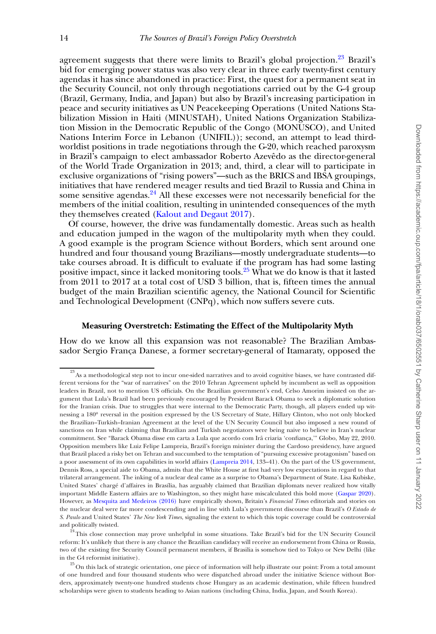agreement suggests that there were limits to Brazil's global projection.<sup>[23](#page-13-0)</sup> Brazil's bid for emerging power status was also very clear in three early twenty-first century agendas it has since abandoned in practice: First, the quest for a permanent seat in the Security Council, not only through negotiations carried out by the G-4 group (Brazil, Germany, India, and Japan) but also by Brazil's increasing participation in peace and security initiatives as UN Peacekeeping Operations (United Nations Stabilization Mission in Haiti (MINUSTAH), United Nations Organization Stabilization Mission in the Democratic Republic of the Congo (MONUSCO), and United Nations Interim Force in Lebanon (UNIFIL)); second, an attempt to lead thirdworldist positions in trade negotiations through the G-20, which reached paroxysm in Brazil's campaign to elect ambassador Roberto Azevêdo as the director-general of the World Trade Organization in 2013; and, third, a clear will to participate in exclusive organizations of "rising powers"—such as the BRICS and IBSA groupings, initiatives that have rendered meager results and tied Brazil to Russia and China in some sensitive agendas.<sup>24</sup> All these excesses were not necessarily beneficial for the members of the initial coalition, resulting in unintended consequences of the myth they themselves created [\(Kalout and Degaut 2017\)](#page-20-3).

Of course, however, the drive was fundamentally domestic. Areas such as health and education jumped in the wagon of the multipolarity myth when they could. A good example is the program Science without Borders, which sent around one hundred and four thousand young Brazilians—mostly undergraduate students—to take courses abroad. It is difficult to evaluate if the program has had some lasting positive impact, since it lacked monitoring tools.<sup>25</sup> What we do know is that it lasted from 2011 to 2017 at a total cost of USD 3 billion, that is, fifteen times the annual budget of the main Brazilian scientific agency, the National Council for Scientific and Technological Development (CNPq), which now suffers severe cuts.

# **Measuring Overstretch: Estimating the Effect of the Multipolarity Myth**

How do we know all this expansion was not reasonable? The Brazilian Ambassador Sergio França Danese, a former secretary-general of Itamaraty, opposed the

<span id="page-13-0"></span> $23<sup>23</sup>$ As a methodological step not to incur one-sided narratives and to avoid cognitive biases, we have contrasted different versions for the "war of narratives" on the 2010 Tehran Agreement upheld by incumbent as well as opposition leaders in Brazil, not to mention US officials. On the Brazilian government's end, Celso Amorim insisted on the argument that Lula's Brazil had been previously encouraged by President Barack Obama to seek a diplomatic solution for the Iranian crisis. Due to struggles that were internal to the Democratic Party, though, all players ended up witnessing a 180° reversal in the position expressed by the US Secretary of State, Hillary Clinton, who not only blocked the Brazilian–Turkish–Iranian Agreement at the level of the UN Security Council but also imposed a new round of sanctions on Iran while claiming that Brazilian and Turkish negotiators were being naive to believe in Iran's nuclear commitment. See "Barack Obama disse em carta a Lula que acordo com Irã criaria 'confiança,'" Globo, May 22, 2010. Opposition members like Luiz Felipe Lampreia, Brazil's foreign minister during the Cardoso presidency, have argued that Brazil placed a risky bet on Tehran and succumbed to the temptation of "pursuing excessive protagonism" based on a poor assessment of its own capabilities in world affairs [\(Lampreia 2014,](#page-20-23) 133–41). On the part of the US government, Dennis Ross, a special aide to Obama, admits that the White House at first had very low expectations in regard to that trilateral arrangement. The inking of a nuclear deal came as a surprise to Obama's Department of State. Lisa Kubiske, United States' chargé d'affaires in Brasília, has arguably claimed that Brazilian diplomats never realized how vitally important Middle Eastern affairs are to Washington, so they might have miscalculated this bold move [\(Gaspar 2020\)](#page-20-24). However, as [Mesquita and Medeiros \(2016\)](#page-21-23) have empirically shown, Britain's *Financial Times* editorials and stories on the nuclear deal were far more condescending and in line with Lula's government discourse than Brazil's *O Estado de S. Paulo* and United States' *The New York Times*, signaling the extent to which this topic coverage could be controversial and politically twisted.

<span id="page-13-1"></span><sup>&</sup>lt;sup>4</sup>This close connection may prove unhelpful in some situations. Take Brazil's bid for the UN Security Council reform: It's unlikely that there is any chance the Brazilian candidacy will receive an endorsement from China or Russia, two of the existing five Security Council permanent members, if Brasilia is somehow tied to Tokyo or New Delhi (like in the G4 reformist initiative).

<span id="page-13-2"></span><sup>&</sup>lt;sup>25</sup> On this lack of strategic orientation, one piece of information will help illustrate our point: From a total amount of one hundred and four thousand students who were dispatched abroad under the initiative Science without Borders, approximately twenty-one hundred students chose Hungary as an academic destination, while fifteen hundred scholarships were given to students heading to Asian nations (including China, India, Japan, and South Korea).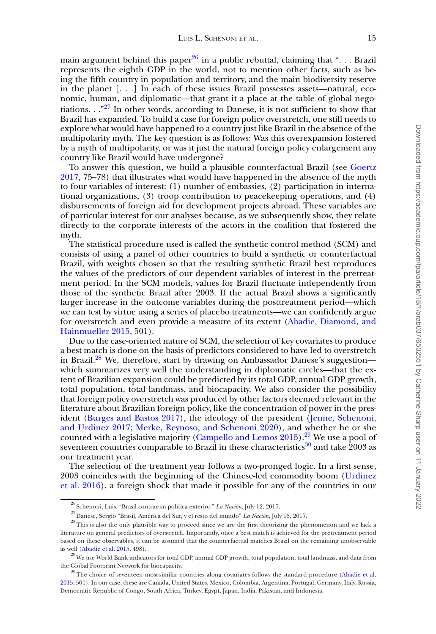main argument behind this paper<sup>26</sup> in a public rebuttal, claiming that "... Brazil represents the eighth GDP in the world, not to mention other facts, such as being the fifth country in population and territory, and the main biodiversity reserve in the planet [. . .] In each of these issues Brazil possesses assets—natural, economic, human, and diplomatic—that grant it a place at the table of global negotiations.  $\cdot$ . "<sup>27</sup> In other words, according to Danese, it is not sufficient to show that Brazil has expanded. To build a case for foreign policy overstretch, one still needs to explore what would have happened to a country just like Brazil in the absence of the multipolarity myth. The key question is as follows: Was this overexpansion fostered by a myth of multipolarity, or was it just the natural foreign policy enlargement any country like Brazil would have undergone?

To answer this question, we build a plausible counterfactual Brazil (see Goertz [2017, 75–78\) that illustrates what would have happened in the absence of the myth](#page-20-25) to four variables of interest: (1) number of embassies, (2) participation in international organizations, (3) troop contribution to peacekeeping operations, and (4) disbursements of foreign aid for development projects abroad. These variables are of particular interest for our analyses because, as we subsequently show, they relate directly to the corporate interests of the actors in the coalition that fostered the myth.

The statistical procedure used is called the synthetic control method (SCM) and consists of using a panel of other countries to build a synthetic or counterfactual Brazil, with weights chosen so that the resulting synthetic Brazil best reproduces the values of the predictors of our dependent variables of interest in the pretreatment period. In the SCM models, values for Brazil fluctuate independently from those of the synthetic Brazil after 2003. If the actual Brazil shows a significantly larger increase in the outcome variables during the posttreatment period—which we can test by virtue using a series of placebo treatments—we can confidently argue [for overstretch and even provide a measure of its extent \(Abadie, Diamond, and](#page-19-1) Hainmueller 2015, 501).

Due to the case-oriented nature of SCM, the selection of key covariates to produce a best match is done on the basis of predictors considered to have led to overstretch in Brazil.<sup>28</sup> We, therefore, start by drawing on Ambassador Danese's suggestion which summarizes very well the understanding in diplomatic circles—that the extent of Brazilian expansion could be predicted by its total GDP, annual GDP growth, total population, total landmass, and biocapacity. We also consider the possibility that foreign policy overstretch was produced by other factors deemed relevant in the literature about Brazilian foreign policy, like the concentration of power in the pres[ident \(](#page-20-13)[Burges and Bastos 2017](#page-20-21)[\), the ideology of the president \(Jenne, Schenoni,](#page-20-13) and Urdinez 2017; [Merke, Reynoso, and Schenoni 2020\)](#page-21-24), and whether he or she counted with a legislative majority [\(Campello and Lemos 2015\)](#page-20-26).<sup>[29](#page-14-3)</sup> We use a pool of seventeen countries comparable to Brazil in these characteristics $30$  and take 2003 as our treatment year.

The selection of the treatment year follows a two-pronged logic. In a first sense, 2003 coincides with the beginning of the Chinese-led commodity boom (Urdinez [et al. 2016\), a foreign shock that made it possible for any of the countries in our](#page-21-25)

<span id="page-14-0"></span><sup>26</sup> Schenoni, Luis. "Brasil contrae su política exterior." *La Nación*, July 12, 2017.

<span id="page-14-2"></span><span id="page-14-1"></span><sup>27</sup>Danese, Sergio "Brasil, América del Sur, y el resto del mundo" *La Nación*, July 15, 2017.

<sup>&</sup>lt;sup>28</sup>This is also the only plausible way to proceed since we are the first theorizing the phenomenon and we lack a literature on general predictors of overstretch. Importantly, once a best match is achieved for the pretreatment period based on these observables, it can be assumed that the counterfactual matches Brazil on the remaining unobservable as well [\(Abadie et al. 2015,](#page-19-1) 498).

<span id="page-14-3"></span> $^{29}$ We use World Bank indicators for total GDP, annual GDP growth, total population, total landmass, and data from the Global Footprint Network for biocapacity.

<span id="page-14-4"></span> $30$ The choice of seventeen most-similar countries along covariates follows the standard procedure (Abadie et al. 2015, 501). In our case, these are Canada, United States, Mexico, Colombia, Argentina, Portugal, Germany, Italy, Russia, Democratic Republic of Congo, South Africa, Turkey, Egypt, Japan, India, Pakistan, and Indonesia.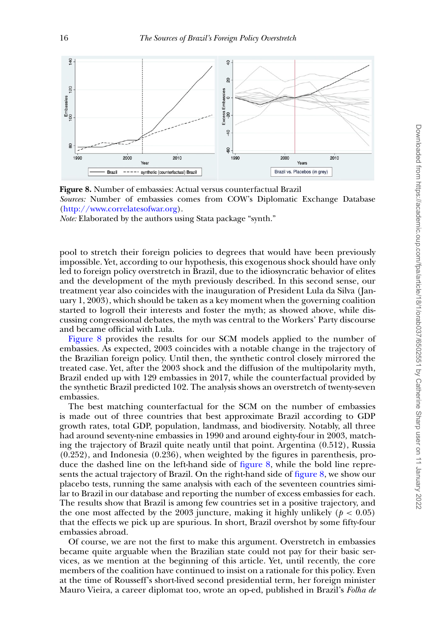<span id="page-15-0"></span>

**Figure 8.** Number of embassies: Actual versus counterfactual Brazil *Sources:* Number of embassies comes from COW's Diplomatic Exchange Database [\(http://www.correlatesofwar.org\)](http://www.correlatesofwar.org). *Note:* Elaborated by the authors using Stata package "synth."

pool to stretch their foreign policies to degrees that would have been previously impossible. Yet, according to our hypothesis, this exogenous shock should have only led to foreign policy overstretch in Brazil, due to the idiosyncratic behavior of elites and the development of the myth previously described. In this second sense, our treatment year also coincides with the inauguration of President Lula da Silva (January 1, 2003), which should be taken as a key moment when the governing coalition started to logroll their interests and foster the myth; as showed above, while discussing congressional debates, the myth was central to the Workers' Party discourse and became official with Lula.

[Figure 8](#page-15-0) provides the results for our SCM models applied to the number of embassies. As expected, 2003 coincides with a notable change in the trajectory of the Brazilian foreign policy. Until then, the synthetic control closely mirrored the treated case. Yet, after the 2003 shock and the diffusion of the multipolarity myth, Brazil ended up with 129 embassies in 2017, while the counterfactual provided by the synthetic Brazil predicted 102. The analysis shows an overstretch of twenty-seven embassies.

The best matching counterfactual for the SCM on the number of embassies is made out of three countries that best approximate Brazil according to GDP growth rates, total GDP, population, landmass, and biodiversity. Notably, all three had around seventy-nine embassies in 1990 and around eighty-four in 2003, matching the trajectory of Brazil quite neatly until that point. Argentina (0.512), Russia (0.252), and Indonesia (0.236), when weighted by the figures in parenthesis, produce the dashed line on the left-hand side of [figure 8,](#page-15-0) while the bold line represents the actual trajectory of Brazil. On the right-hand side of [figure 8,](#page-15-0) we show our placebo tests, running the same analysis with each of the seventeen countries similar to Brazil in our database and reporting the number of excess embassies for each. The results show that Brazil is among few countries set in a positive trajectory, and the one most affected by the 2003 juncture, making it highly unlikely ( $p < 0.05$ ) that the effects we pick up are spurious. In short, Brazil overshot by some fifty-four embassies abroad.

Of course, we are not the first to make this argument. Overstretch in embassies became quite arguable when the Brazilian state could not pay for their basic services, as we mention at the beginning of this article. Yet, until recently, the core members of the coalition have continued to insist on a rationale for this policy. Even at the time of Rousseff's short-lived second presidential term, her foreign minister Mauro Vieira, a career diplomat too, wrote an op-ed, published in Brazil's *Folha de*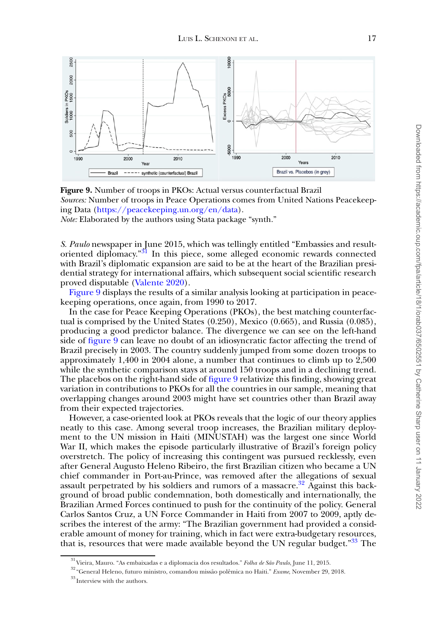<span id="page-16-1"></span>

**Figure 9.** Number of troops in PKOs: Actual versus counterfactual Brazil *Sources:* Number of troops in Peace Operations comes from United Nations Peacekeeping Data [\(https://peacekeeping.un.org/en/data\)](https://peacekeeping.un.org/en/data).

*Note:* Elaborated by the authors using Stata package "synth."

*S. Paulo* newspaper in June 2015, which was tellingly entitled "Embassies and resultoriented diplomacy. $\sqrt[3]{3}$  In this piece, some alleged economic rewards connected with Brazil's diplomatic expansion are said to be at the heart of the Brazilian presidential strategy for international affairs, which subsequent social scientific research proved disputable [\(Valente 2020\)](#page-21-22).

[Figure 9](#page-16-1) displays the results of a similar analysis looking at participation in peacekeeping operations, once again, from 1990 to 2017.

In the case for Peace Keeping Operations (PKOs), the best matching counterfactual is comprised by the United States (0.250), Mexico (0.665), and Russia (0.085), producing a good predictor balance. The divergence we can see on the left-hand side of [figure 9](#page-16-1) can leave no doubt of an idiosyncratic factor affecting the trend of Brazil precisely in 2003. The country suddenly jumped from some dozen troops to approximately 1,400 in 2004 alone, a number that continues to climb up to 2,500 while the synthetic comparison stays at around 150 troops and in a declining trend. The placebos on the right-hand side of [figure 9](#page-16-1) relativize this finding, showing great variation in contributions to PKOs for all the countries in our sample, meaning that overlapping changes around 2003 might have set countries other than Brazil away from their expected trajectories.

However, a case-oriented look at PKOs reveals that the logic of our theory applies neatly to this case. Among several troop increases, the Brazilian military deployment to the UN mission in Haiti (MINUSTAH) was the largest one since World War II, which makes the episode particularly illustrative of Brazil's foreign policy overstretch. The policy of increasing this contingent was pursued recklessly, even after General Augusto Heleno Ribeiro, the first Brazilian citizen who became a UN chief commander in Port-au-Prince, was removed after the allegations of sexual assault perpetrated by his soldiers and rumors of a massacre.<sup>32</sup> Against this background of broad public condemnation, both domestically and internationally, the Brazilian Armed Forces continued to push for the continuity of the policy. General Carlos Santos Cruz, a UN Force Commander in Haiti from 2007 to 2009, aptly describes the interest of the army: "The Brazilian government had provided a considerable amount of money for training, which in fact were extra-budgetary resources, that is, resources that were made available beyond the UN regular budget.<sup>"[33](#page-16-3)</sup> The

<span id="page-16-0"></span> $\frac{31}{31}$ Vieira, Mauro. "As embaixadas e a diplomacia dos resultados." *Folha de São Paulo*, June 11, 2015.

<span id="page-16-2"></span><sup>32</sup> "General Heleno, futuro ministro, comandou missão polêmica no Haiti." *Exame*, November 29, 2018.

<span id="page-16-3"></span> $\rm{^{33}}$  Interview with the authors.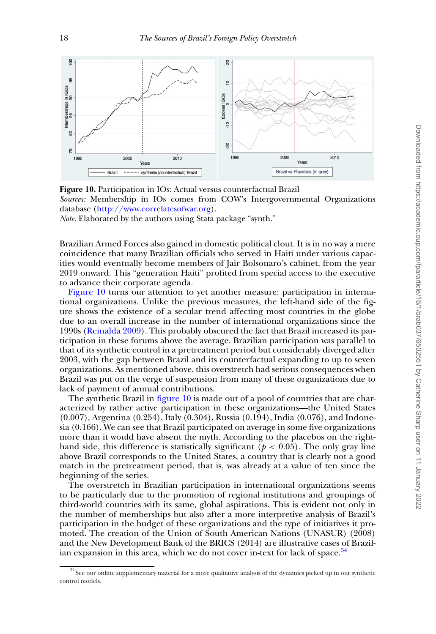<span id="page-17-0"></span>

**Figure 10.** Participation in IOs: Actual versus counterfactual Brazil *Sources:* Membership in IOs comes from COW's Intergovernmental Organizations database [\(http://www.correlatesofwar.org\)](http://www.correlatesofwar.org).

*Note:* Elaborated by the authors using Stata package "synth."

Brazilian Armed Forces also gained in domestic political clout. It is in no way a mere coincidence that many Brazilian officials who served in Haiti under various capacities would eventually become members of Jair Bolsonaro's cabinet, from the year 2019 onward. This "generation Haiti" profited from special access to the executive to advance their corporate agenda.

[Figure 10](#page-17-0) turns our attention to yet another measure: participation in international organizations. Unlike the previous measures, the left-hand side of the figure shows the existence of a secular trend affecting most countries in the globe due to an overall increase in the number of international organizations since the 1990s [\(Reinalda 2009\)](#page-21-26). This probably obscured the fact that Brazil increased its participation in these forums above the average. Brazilian participation was parallel to that of its synthetic control in a pretreatment period but considerably diverged after 2003, with the gap between Brazil and its counterfactual expanding to up to seven organizations. As mentioned above, this overstretch had serious consequences when Brazil was put on the verge of suspension from many of these organizations due to lack of payment of annual contributions.

The synthetic Brazil in [figure 10](#page-17-0) is made out of a pool of countries that are characterized by rather active participation in these organizations—the United States (0.007), Argentina (0.254), Italy (0.304), Russia (0.194), India (0.076), and Indonesia (0.166). We can see that Brazil participated on average in some five organizations more than it would have absent the myth. According to the placebos on the righthand side, this difference is statistically significant ( $p < 0.05$ ). The only gray line above Brazil corresponds to the United States, a country that is clearly not a good match in the pretreatment period, that is, was already at a value of ten since the beginning of the series.

The overstretch in Brazilian participation in international organizations seems to be particularly due to the promotion of regional institutions and groupings of third-world countries with its same, global aspirations. This is evident not only in the number of memberships but also after a more interpretive analysis of Brazil's participation in the budget of these organizations and the type of initiatives it promoted. The creation of the Union of South American Nations (UNASUR) (2008) and the New Development Bank of the BRICS (2014) are illustrative cases of Brazil-ian expansion in this area, which we do not cover in-text for lack of space.<sup>[34](#page-17-1)</sup>

<span id="page-17-1"></span><sup>&</sup>lt;sup>34</sup> See our online supplementary material for a more qualitative analysis of the dynamics picked up in our synthetic control models.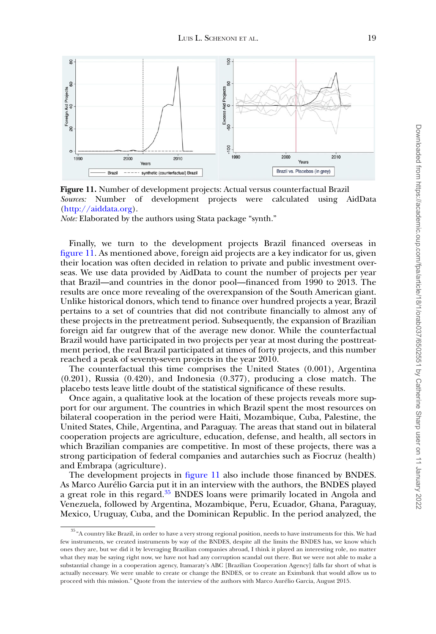<span id="page-18-0"></span>

**Figure 11.** Number of development projects: Actual versus counterfactual Brazil *Sources:* Number of development projects were calculated using AidData [\(http://aiddata.org\)](http://aiddata.org).

*Note:* Elaborated by the authors using Stata package "synth."

Finally, we turn to the development projects Brazil financed overseas in [figure 11.](#page-18-0) As mentioned above, foreign aid projects are a key indicator for us, given their location was often decided in relation to private and public investment overseas. We use data provided by AidData to count the number of projects per year that Brazil—and countries in the donor pool—financed from 1990 to 2013. The results are once more revealing of the overexpansion of the South American giant. Unlike historical donors, which tend to finance over hundred projects a year, Brazil pertains to a set of countries that did not contribute financially to almost any of these projects in the pretreatment period. Subsequently, the expansion of Brazilian foreign aid far outgrew that of the average new donor. While the counterfactual Brazil would have participated in two projects per year at most during the posttreatment period, the real Brazil participated at times of forty projects, and this number reached a peak of seventy-seven projects in the year 2010.

The counterfactual this time comprises the United States (0.001), Argentina (0.201), Russia (0.420), and Indonesia (0.377), producing a close match. The placebo tests leave little doubt of the statistical significance of these results.

Once again, a qualitative look at the location of these projects reveals more support for our argument. The countries in which Brazil spent the most resources on bilateral cooperation in the period were Haiti, Mozambique, Cuba, Palestine, the United States, Chile, Argentina, and Paraguay. The areas that stand out in bilateral cooperation projects are agriculture, education, defense, and health, all sectors in which Brazilian companies are competitive. In most of these projects, there was a strong participation of federal companies and autarchies such as Fiocruz (health) and Embrapa (agriculture).

The development projects in [figure 11](#page-18-0) also include those financed by BNDES. As Marco Aurélio Garcia put it in an interview with the authors, the BNDES played a great role in this regard.<sup>35</sup> BNDES loans were primarily located in Angola and Venezuela, followed by Argentina, Mozambique, Peru, Ecuador, Ghana, Paraguay, Mexico, Uruguay, Cuba, and the Dominican Republic. In the period analyzed, the

<span id="page-18-1"></span> $^{35}$  "A country like Brazil, in order to have a very strong regional position, needs to have instruments for this. We had few instruments, we created instruments by way of the BNDES, despite all the limits the BNDES has, we know which ones they are, but we did it by leveraging Brazilian companies abroad, I think it played an interesting role, no matter what they may be saying right now, we have not had any corruption scandal out there. But we were not able to make a substantial change in a cooperation agency, Itamaraty's ABC [Brazilian Cooperation Agency] falls far short of what is actually necessary. We were unable to create or change the BNDES, or to create an Eximbank that would allow us to proceed with this mission." Quote from the interview of the authors with Marco Aurélio Garcia, August 2015.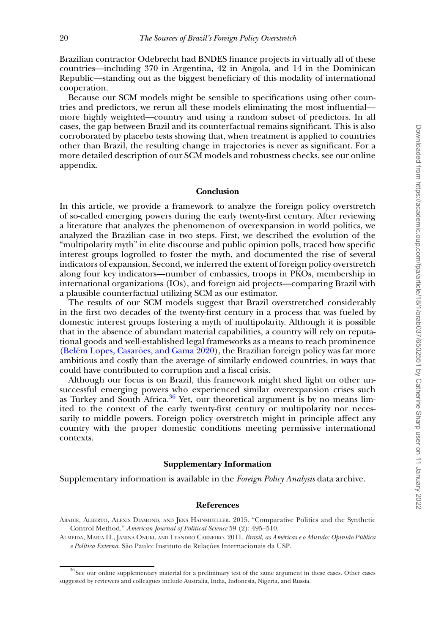Brazilian contractor Odebrecht had BNDES finance projects in virtually all of these countries—including 370 in Argentina, 42 in Angola, and 14 in the Dominican Republic—standing out as the biggest beneficiary of this modality of international cooperation.

Because our SCM models might be sensible to specifications using other countries and predictors, we rerun all these models eliminating the most influential more highly weighted—country and using a random subset of predictors. In all cases, the gap between Brazil and its counterfactual remains significant. This is also corroborated by placebo tests showing that, when treatment is applied to countries other than Brazil, the resulting change in trajectories is never as significant. For a more detailed description of our SCM models and robustness checks, see our online appendix.

### **Conclusion**

In this article, we provide a framework to analyze the foreign policy overstretch of so-called emerging powers during the early twenty-first century. After reviewing a literature that analyzes the phenomenon of overexpansion in world politics, we analyzed the Brazilian case in two steps. First, we described the evolution of the "multipolarity myth" in elite discourse and public opinion polls, traced how specific interest groups logrolled to foster the myth, and documented the rise of several indicators of expansion. Second, we inferred the extent of foreign policy overstretch along four key indicators—number of embassies, troops in PKOs, membership in international organizations (IOs), and foreign aid projects—comparing Brazil with a plausible counterfactual utilizing SCM as our estimator.

The results of our SCM models suggest that Brazil overstretched considerably in the first two decades of the twenty-first century in a process that was fueled by domestic interest groups fostering a myth of multipolarity. Although it is possible that in the absence of abundant material capabilities, a country will rely on reputational goods and well-established legal frameworks as a means to reach prominence [\(Belém Lopes, Casarões, and Gama 2020\)](#page-20-27), the Brazilian foreign policy was far more ambitious and costly than the average of similarly endowed countries, in ways that could have contributed to corruption and a fiscal crisis.

Although our focus is on Brazil, this framework might shed light on other unsuccessful emerging powers who experienced similar overexpansion crises such as Turkey and South Africa. $36$  Yet, our theoretical argument is by no means limited to the context of the early twenty-first century or multipolarity nor necessarily to middle powers. Foreign policy overstretch might in principle affect any country with the proper domestic conditions meeting permissive international contexts.

#### **Supplementary Information**

Supplementary information is available in the *Foreign Policy Analysis* data archive.

#### **References**

<span id="page-19-1"></span>ABADIE, ALBERTO, ALEXIS DIAMOND, AND JENS HAINMUELLER. 2015. "Comparative Politics and the Synthetic Control Method." *American Journal of Political Science* 59 (2): 495–510.

<span id="page-19-0"></span>ALMEIDA, MARIA H., JANINA ONUKI, AND LEANDRO CARNEIRO. 2011. *Brasil, as Américas e o Mundo: Opinião Pública e Política Externa*. São Paulo: Instituto de Relações Internacionais da USP.

<span id="page-19-2"></span><sup>&</sup>lt;sup>36</sup> See our online supplementary material for a preliminary test of the same argument in these cases. Other cases suggested by reviewers and colleagues include Australia, India, Indonesia, Nigeria, and Russia.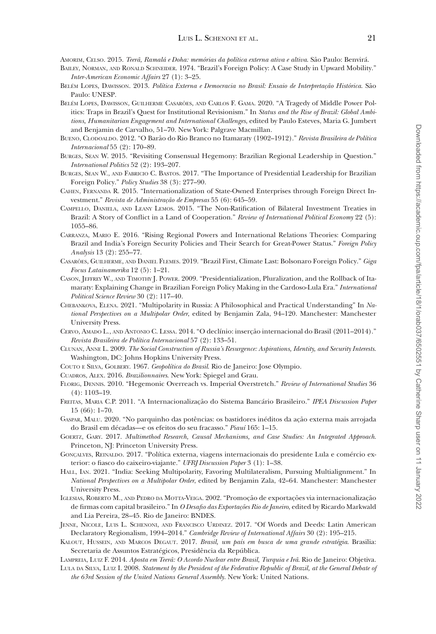<span id="page-20-10"></span>AMORIM, CELSO. 2015. *Teerã, Ramalá e Doha: memórias da política externa ativa e altiva*. São Paulo: Benvirá.

- <span id="page-20-9"></span>BAILEY, NORMAN, AND RONALD SCHNEIDER. 1974. "Brazil's Foreign Policy: A Case Study in Upward Mobility." *Inter-American Economic Affairs* 27 (1): 3–25.
- <span id="page-20-16"></span>BELÉM LOPES, DAWISSON. 2013. *Política Externa e Democracia no Brasil: Ensaio de Interpretação Histórica*. São Paulo: UNESP.
- <span id="page-20-27"></span>BELÉM LOPES, DAWISSON, GUILHERME CASARÕES, AND CARLOS F. GAMA. 2020. "A Tragedy of Middle Power Politics: Traps in Brazil's Quest for Institutional Revisionism." In *Status and the Rise of Brazil: Global Ambitions, Humanitarian Engagement and International Challenges*, edited by Paulo Esteves, Maria G. Jumbert and Benjamin de Carvalho, 51–70. New York: Palgrave Macmillan.
- <span id="page-20-7"></span>BUENO, CLODOALDO. 2012. "O Barão do Rio Branco no Itamaraty (1902–1912)." *Revista Brasileira de Política Internacional* 55 (2): 170–89.
- <span id="page-20-2"></span>BURGES, SEAN W. 2015. "Revisiting Consensual Hegemony: Brazilian Regional Leadership in Question." *International Politics* 52 (2): 193–207.
- <span id="page-20-21"></span>BURGES, SEAN W., AND FABRICIO C. BASTOS. 2017. "The Importance of Presidential Leadership for Brazilian Foreign Policy." *Policy Studies* 38 (3): 277–90.
- <span id="page-20-19"></span>CAHEN, FERNANDA R. 2015. "Internationalization of State-Owned Enterprises through Foreign Direct Investment." *Revista de Administração de Empresas* 55 (6): 645–59.
- <span id="page-20-26"></span>CAMPELLO, DANIELA, AND LEANY LEMOS. 2015. "The Non-Ratification of Bilateral Investment Treaties in Brazil: A Story of Conflict in a Land of Cooperation." *Review of International Political Economy* 22 (5): 1055–86.
- <span id="page-20-0"></span>CARRANZA, MARIO E. 2016. "Rising Regional Powers and International Relations Theories: Comparing Brazil and India's Foreign Security Policies and Their Search for Great-Power Status." *Foreign Policy Analysis* 13 (2): 255–77.
- <span id="page-20-4"></span>CASARÕES, GUILHERME, AND DANIEL FLEMES. 2019. "Brazil First, Climate Last: Bolsonaro Foreign Policy." *Giga Focus Latainamerika* 12 (5): 1–21.
- <span id="page-20-17"></span>CASON, JEFFREY W., AND TIMOTHY J. POWER. 2009. "Presidentialization, Pluralization, and the Rollback of Itamaraty: Explaining Change in Brazilian Foreign Policy Making in the Cardoso-Lula Era." *International Political Science Review* 30 (2): 117–40.
- <span id="page-20-12"></span>CHEBANKOVA, ELENA. 2021. "Multipolarity in Russia: A Philosophical and Practical Understanding" In *National Perspectives on a Multipolar Order*, edited by Benjamin Zala, 94–120. Manchester: Manchester University Press.
- <span id="page-20-1"></span>CERVO, AMADO L., AND ANTONIO C. LESSA. 2014. "O declínio: inserção internacional do Brasil (2011–2014)." *Revista Brasileira de Política Internacional* 57 (2): 133–51.
- <span id="page-20-6"></span>CLUNAN, ANNE L. 2009. *The Social Construction of Russia's Resurgence: Aspirations, Identity, and Security Interests*. Washington, DC: Johns Hopkins University Press.
- <span id="page-20-8"></span>COUTO E SILVA, GOLBERY. 1967. *Geopolítica do Brasil*. Rio de Janeiro: Jose Olympio.
- <span id="page-20-20"></span>CUADROS, ALEX. 2016. *Brazilionnaires*. New York: Spiegel and Grau.
- <span id="page-20-5"></span>FLORIG, DENNIS. 2010. "Hegemonic Overreach vs. Imperial Overstretch." *Review of International Studies* 36 (4): 1103–19.
- <span id="page-20-18"></span>FREITAS, MARIA C.P. 2011. "A Internacionalização do Sistema Bancário Brasileiro." *IPEA Discussion Paper* 15 (66): 1–70.
- <span id="page-20-24"></span>GASPAR, MALU. 2020. "No parquinho das potências: os bastidores inéditos da ação externa mais arrojada do Brasil em décadas—e os efeitos do seu fracasso." *Piauí* 165: 1–15.
- <span id="page-20-25"></span>GOERTZ, GARY. 2017. *Multimethod Research, Causal Mechanisms, and Case Studies: An Integrated Approach*. Princeton, NJ: Princeton University Press.
- <span id="page-20-22"></span>GONÇALVES, REINALDO. 2017. "Política externa, viagens internacionais do presidente Lula e comércio exterior: o fiasco do caixeiro-viajante." *UFRJ Discussion Paper* 3 (1): 1–38.
- <span id="page-20-11"></span>HALL, IAN. 2021. "India: Seeking Multipolarity, Favoring Multilateralism, Pursuing Multialignment." In *National Perspectives on a Multipolar Order*, edited by Benjamin Zala, 42–64. Manchester: Manchester University Press.
- <span id="page-20-15"></span>IGLESIAS, ROBERTO M., AND PEDRO DA MOTTA-VEIGA. 2002. "Promoção de exportações via internacionalização de firmas com capital brasileiro." In *O Desafio das Exportações Rio de Janeiro*, edited by Ricardo Markwald and Lia Pereira, 28–45. Rio de Janeiro: BNDES.
- <span id="page-20-13"></span>JENNE, NICOLE, LUIS L. SCHENONI, AND FRANCISCO URDINEZ. 2017. "Of Words and Deeds: Latin American Declaratory Regionalism, 1994–2014." *Cambridge Review of International Affairs* 30 (2): 195–215.
- <span id="page-20-3"></span>KALOUT, HUSSEIN, AND MARCOS DEGAUT. 2017. *Brasil, um país em busca de uma grande estratégia*. Brasilia: Secretaria de Assuntos Estratégicos, Presidência da República.

<span id="page-20-23"></span>LAMPREIA, LUIZ F. 2014. *Aposta em Teerã: O Acordo Nuclear entre Brasil, Turquia e Irã*. Rio de Janeiro: Objetiva.

<span id="page-20-14"></span>LULA DA SILVA, LUIZ I. 2008. *Statement by the President of the Federative Republic of Brazil, at the General Debate of the 63rd Session of the United Nations General Assembly*. New York: United Nations.